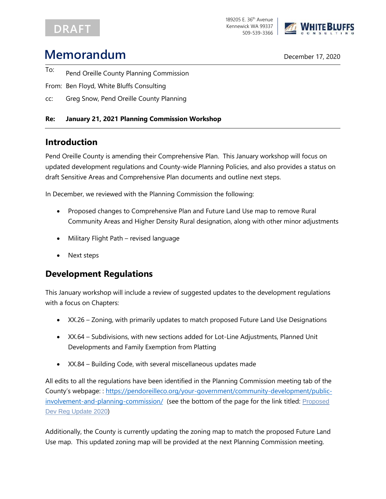## DRAFT

189205 E. 36<sup>th</sup> Avenue Kennewick WA 99337 509-539-3366



# **Memorandum** December 17, 2020

- To: Pend Oreille County Planning Commission
- From: Ben Floyd, White Bluffs Consulting
- cc: Greg Snow, Pend Oreille County Planning

#### **Re: January 21, 2021 Planning Commission Workshop**

#### **Introduction**

Pend Oreille County is amending their Comprehensive Plan. This January workshop will focus on updated development regulations and County-wide Planning Policies, and also provides a status on draft Sensitive Areas and Comprehensive Plan documents and outline next steps.

In December, we reviewed with the Planning Commission the following:

- Proposed changes to Comprehensive Plan and Future Land Use map to remove Rural Community Areas and Higher Density Rural designation, along with other minor adjustments
- Military Flight Path revised language
- Next steps

### **Development Regulations**

This January workshop will include a review of suggested updates to the development regulations with a focus on Chapters:

- XX.26 Zoning, with primarily updates to match proposed Future Land Use Designations
- XX.64 Subdivisions, with new sections added for Lot-Line Adjustments, Planned Unit Developments and Family Exemption from Platting
- XX.84 Building Code, with several miscellaneous updates made

All edits to all the regulations have been identified in the Planning Commission meeting tab of the County's webpage: : [https://pendoreilleco.org/your-government/community-development/public](https://pendoreilleco.org/your-government/community-development/public-involvement-and-planning-commission/)[involvement-and-planning-commission/](https://pendoreilleco.org/your-government/community-development/public-involvement-and-planning-commission/) (see the bottom of the page for the link titled: [Proposed](https://pendoreilleco.org/wp-content/uploads/2021/01/DevRegs.zip) Dev Reg [Update](https://pendoreilleco.org/wp-content/uploads/2021/01/DevRegs.zip) 2020)

Additionally, the County is currently updating the zoning map to match the proposed Future Land Use map. This updated zoning map will be provided at the next Planning Commission meeting.